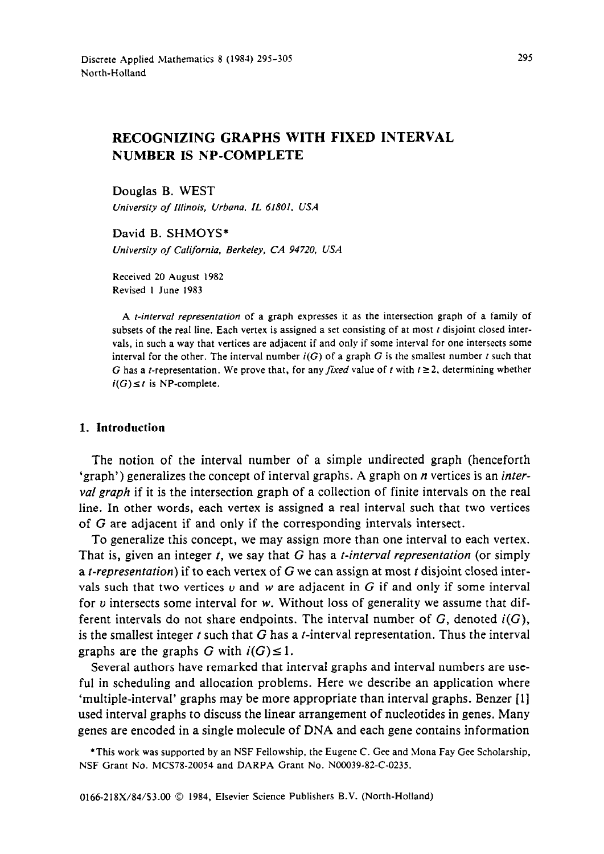# **RECOGNIZING GRAPHS WITH FIXED INTERVAL NUMBER IS NP-COMPLETE**

Douglas B. WEST

*University of Illinois, Urbana, IL 61801, USA* 

David B. SHMOYS\* *University of California, Berkeley, CA 94720, USA* 

Received 20 August 1982 Revised I June 1983

A *t-interval representation* of a graph expresses it as the intersection graph of a family of subsets of the real line. Each vertex is assigned a set consisting of at most  $t$  disjoint closed intervals, in such a way that vertices are adjacent if and only if some interval for one intersects some interval for the other. The interval number  $i(G)$  of a graph G is the smallest number  $t$  such that G has a *t*-representation. We prove that, for any *fixed* value of *t* with  $t \ge 2$ , determining whether  $i(G) \leq t$  is NP-complete.

#### **1. Introduction**

The notion of the interval number of a simple undirected graph (henceforth 'graph') generalizes the concept of interval graphs. A graph on n vertices is an *interval graph* if it is the intersection graph of a collection of finite intervals on the real line. In other words, each vertex is assigned a real interval such that two vertices of G are adjacent if and only if the corresponding intervals intersect.

To generalize this concept, we may assign more than one interval to each vertex. That is, given an integer *t, we* say that G has a *t-interval representation* (or simply a *t-representarion)* if to each vertex of G we can assign at most i disjoint closed intervals such that two vertices  $v$  and w are adjacent in G if and only if some interval for  $\nu$  intersects some interval for  $\nu$ . Without loss of generality we assume that different intervals do not share endpoints. The interval number of G, denoted *i(G),*  is the smallest integer  $t$  such that  $G$  has a  $t$ -interval representation. Thus the interval graphs are the graphs G with  $i(G) \leq 1$ .

Several authors have remarked that interval graphs and interval numbers are useful in scheduling and allocation problems. Here we describe an application where 'multiple-interval' graphs may be more appropriate than interval graphs. Benzer [l] used interval graphs to discuss the linear arrangement of nucleotides in genes. Many genes are encoded in a single molecule of DNA and each gene contains information

\*This work was supported by an NSF Fellowship, the Eugene C. Gee and Mona Fay Gee Scholarship, NSF Grant No. MCS78-20054 and DARPA Grant No. N00039-82-C-0235.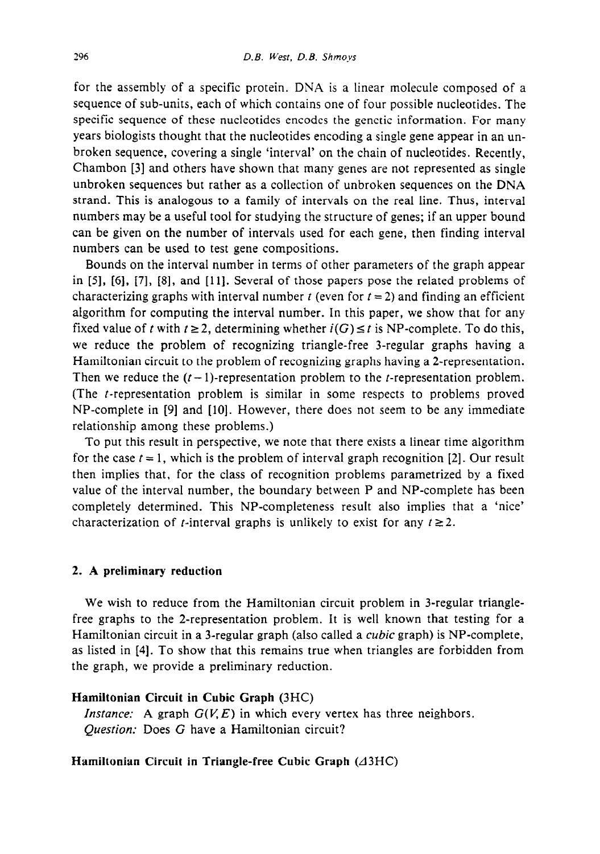for the assembly of a specific protein. DNA is a linear molecule composed of a sequence of sub-units, each of which contains one of four possible nucleotides. The specific sequence of these nucleotides encodes the genetic information. For many years biologists thought that the nucleotides encoding a single gene appear in an unbroken sequence, covering a single 'interval' on the chain of nucleotides. Recently, Chambon [3] and others have shown that many genes are not represented as single unbroken sequences but rather as a collection of unbroken sequences on the DNA strand. This is analogous to a family of intervals on the real line. Thus, interval numbers may be a useful tool for studying the structure of genes; if an upper bound can be given on the number of intervals used for each gene, then finding interval numbers can be used to test gene compositions.

Bounds on the interval number in terms of other parameters of the graph appear in [5], [6], [7], [S], and [ 111. Several of those papers pose the related problems of characterizing graphs with interval number t (even for  $t = 2$ ) and finding an efficient algorithm for computing the interval number. In this paper, we show that for any fixed value of t with  $t \ge 2$ , determining whether  $i(G) \le t$  is NP-complete. To do this, we reduce the problem of recognizing triangle-free 3-regular graphs having a Hamiltonian circuit to the problem of recognizing graphs having a 2-representation. Then we reduce the  $(t-1)$ -representation problem to the *t*-representation problem. (The t-representation problem is similar in some respects to problems proved NP-complete in [9] and [10]. However, there does not seem to be any immediate relationship among these problems.)

To put this result in perspective, we note that there exists a linear time algorithm for the case  $t = 1$ , which is the problem of interval graph recognition [2]. Our result then implies that, for the class of recognition problems parametrized by a fixed value of the interval number, the boundary between P and NP-complete has been completely determined. This NP-completeness result also implies that a 'nice' characterization of *t*-interval graphs is unlikely to exist for any  $t \ge 2$ .

#### 2. **A preliminary reduction**

**We** wish to reduce from the Hamiltonian circuit problem in 3-regular trianglefree graphs to the 2-representation problem. It is well known that testing for a Hamiltonian circuit in a 3-regular graph (also called a *cubic* graph) is NP-complete, as listed in [4]. To show that this remains true when triangles are forbidden from the graph, we provide a preliminary reduction.

#### **Hamiltonian Circuit in Cubic Graph (3HC)**

*Instance:* A graph  $G(V, E)$  in which every vertex has three neighbors. Question: Does G have a Hamiltonian circuit?

## Hamiltonian Circuit in Triangle-free Cubic Graph ( $\triangle$ 3HC)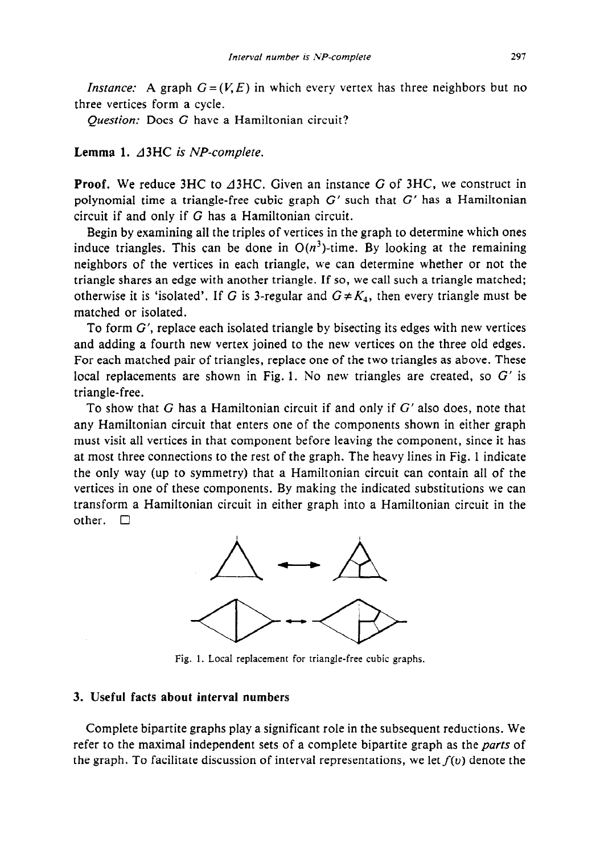*Instance:* A graph  $G = (V, E)$  in which every vertex has three neighbors but no three vertices form a cycle.

Question: Does G have a Hamiltonian circuit?

## **Lemma 1. d3HC is** *NP-complete.*

**Proof.** We reduce 3HC to  $\triangle 3$ HC. Given an instance G of 3HC, we construct in polynomial time a triangle-free cubic graph  $G'$  such that  $G'$  has a Hamiltonian circuit if and only if G has a Hamiltonian circuit.

Begin by examining all the triples of vertices in the graph to determine which ones induce triangles. This can be done in  $O(n^3)$ -time. By looking at the remaining neighbors of the vertices in each triangle, we can determine whether or not the triangle shares an edge with another triangle. If so, we call such a triangle matched; otherwise it is 'isolated'. If G is 3-regular and  $G \neq K_4$ , then every triangle must be matched or isolated.

To form  $G'$ , replace each isolated triangle by bisecting its edges with new vertices and adding a fourth new vertex joined to the new vertices on the three old edges. For each matched pair of triangles, replace one of the two triangles as above. These local replacements are shown in Fig. 1. No new triangles are created, so  $G'$  is triangle-free.

To show that G has a Hamiltonian circuit if and only if  $G'$  also does, note that any Hamiltonian circuit that enters one of the components shown in either graph must visit all vertices in that component before leaving the component, since it has at most three connections to the rest of the graph. The heavy lines in Fig. 1 indicate the only way (up to symmetry) that a Hamiltonian circuit can contain all of the vertices in one of these components. By making the indicated substitutions we can transform a Hamiltonian circuit in either graph into a Hamiltonian circuit in the other.  $\square$ 



Fig. 1. Local replacement for triangle-free cubic graphs.

## **3. Useful facts about interval numbers**

Complete bipartite graphs play a significant role in the subsequent reductions. We refer to the maximal independent sets of a complete bipartite graph as the *parts* of the graph. To facilitate discussion of interval representations, we let  $f(v)$  denote the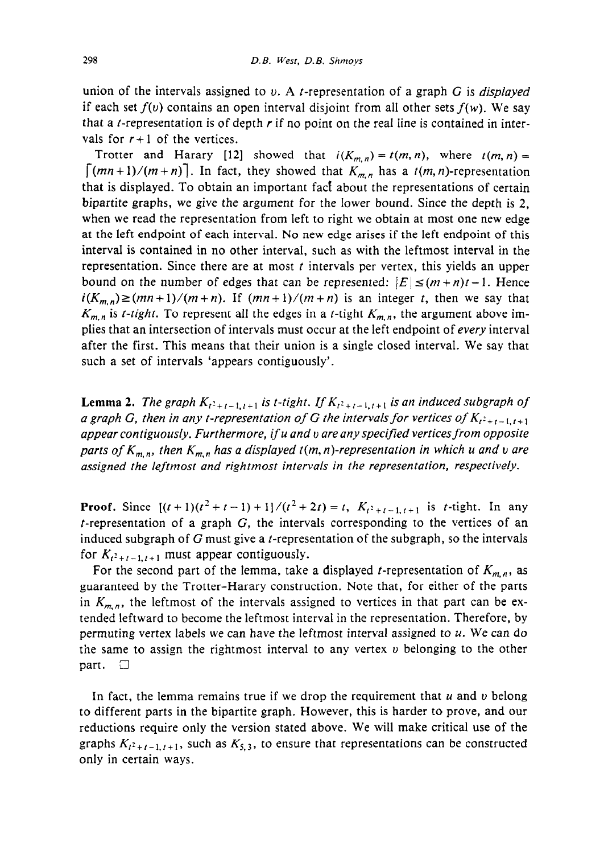union of the intervals assigned to v. A f-representation of a graph G is *displayed*  if each set  $f(v)$  contains an open interval disjoint from all other sets  $f(w)$ . We say that a *t*-representation is of depth  $r$  if no point on the real line is contained in intervals for  $r+1$  of the vertices.

Trotter and Harary [12] showed that  $i(K_{m,n}) = t(m,n)$ , where  $t(m,n) =$  $\lceil (mn+1)/(m+n) \rceil$ . In fact, they showed that  $K_{m,n}$  has a  $t(m, n)$ -representation that is displayed. To obtain an important fact about the representations of certain bipartite graphs, we give the argument for the lower bound. Since the depth is 2, when we read the representation from left to right we obtain at most one new edge at the left endpoint of each interval. No new edge arises if the left endpoint of this interval is contained in no other interval, such as with the leftmost interval in the representation. Since there are at most  $t$  intervals per vertex, this yields an upper bound on the number of edges that can be represented:  $|E| \leq (m+n)t-1$ . Hence  $i(K_{m,n}) \ge (mn + 1)/(m+n)$ . If  $(mn + 1)/(m+n)$  is an integer t, then we say that  $K_{m,n}$  is *t-tight*. To represent all the edges in a *t*-tight  $K_{m,n}$ , the argument above implies that an intersection of intervals must occur at the left endpoint of every interval after the first. This means that their union is a single closed interval. We say that such a set of intervals 'appears contiguously'.

**Lemma 2.** *The graph*  $K_{t^2+t-1,t+1}$  *is t-tight. If*  $K_{t^2+t-1,t+1}$  *is an induced subgraph of a graph G, then in any t-representation of G the intervals for vertices of*  $K_{t^2+t-1,t+1}$ *appear contiguously. Furthermore, if u and v are any specified vertices from opposite parts of*  $K_{m,n}$ *, then*  $K_{m,n}$  has a displayed  $t(m,n)$ -representation in which u and v are *assigned the leftmost and rightmost intervals in the representation, respectively.* 

**Proof.** Since  $[(t+1)(t^2+t-1)+1]/(t^2+2t) = t$ ,  $K_{t^2+t-1,t+1}$  is t-tight. In any  $t$ -representation of a graph  $G$ , the intervals corresponding to the vertices of an induced subgraph of  $G$  must give a *t*-representation of the subgraph, so the intervals for  $K_{t^2+t-1,t+1}$  must appear contiguously.

For the second part of the lemma, take a displayed *t*-representation of  $K_{m,n}$ , as guaranteed by the Trotter-Harary construction. Note that, for either of the parts in  $K_{m,n}$ , the leftmost of the intervals assigned to vertices in that part can be extended leftward to become the leftmost interval in the representation. Therefore, by permuting vertex labels we can have the leftmost interval assigned to  $u$ . We can do the same to assign the rightmost interval to any vertex  $\nu$  belonging to the other part.  $\Box$ 

In fact, the lemma remains true if we drop the requirement that  $u$  and  $v$  belong to different parts in the bipartite graph. However, this is harder to prove, and our reductions require only the version stated above. We will make critical use of the graphs  $K_{t^2+t-1,t+1}$ , such as  $K_{5,3}$ , to ensure that representations can be constructed only in certain ways.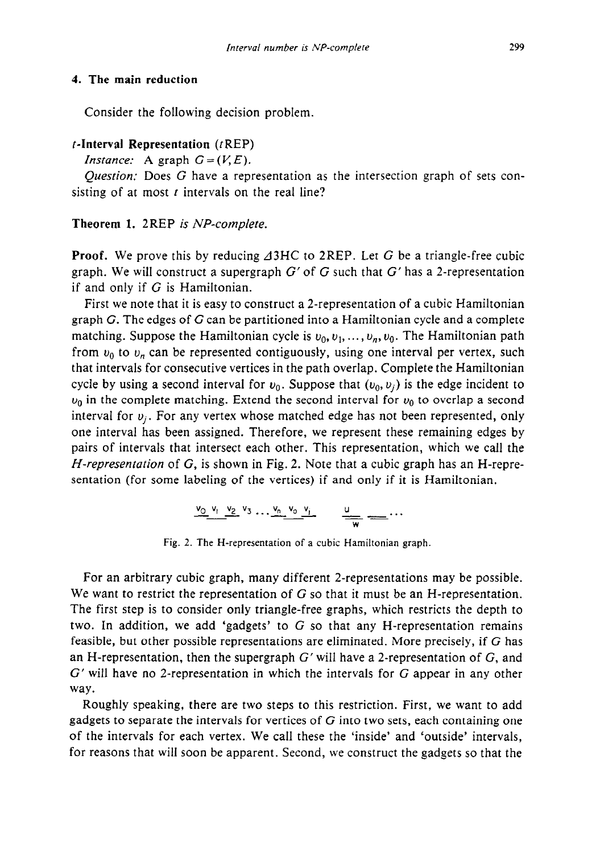#### *4.* **The main reduction**

Consider the following decision problem.

## **f-Interval Representation** (tREP)

*Instance:* A graph  $G = (V, E)$ .

*Question:* Does G have a representation as the intersection graph of sets consisting of at most  $t$  intervals on the real line?

## **Theorem 1.** 2REP *is NP-complete.*

**Proof.** We prove this by reducing  $\triangle 3HC$  to 2REP. Let G be a triangle-free cubic graph. We will construct a supergraph  $G'$  of G such that  $G'$  has a 2-representation if and only if  $G$  is Hamiltonian.

First we note that it is easy to construct a 2-representation of a cubic Hamiltonian graph G. The edges of  $G$  can be partitioned into a Hamiltonian cycle and a complete matching. Suppose the Hamiltonian cycle is  $v_0, v_1, \ldots, v_n, v_0$ . The Hamiltonian path from  $v_0$  to  $v_n$  can be represented contiguously, using one interval per vertex, such that intervals for consecutive vertices in the path overlap. Complete the Hamiltonian cycle by using a second interval for  $v_0$ . Suppose that  $(v_0, v_i)$  is the edge incident to  $u_0$  in the complete matching. Extend the second interval for  $u_0$  to overlap a second interval for  $v_j$ . For any vertex whose matched edge has not been represented, only one interval has been assigned. Therefore, we represent these remaining edges by pairs of intervals that intersect each other. This representation, which we call the *H-representation* of G, is shown in Fig. 2. Note that a cubic graph has an H-representation (for some labeling of the vertices) if and only if it is Hamiltonian.

$$
\underbrace{v_0 \ v_1 \ v_2 \ v_3 \ ... \ v_n \ v_0 \ v_j}_{\text{w}} \qquad \underbrace{u}_{\text{w}} \ \dots
$$

Fig. 2. The H-representation of a cubic Hamiltonian graph.

For an arbitrary cubic graph, many different 2-representations may be possible. We want to restrict the representation of G so that it must be an H-representation. The first step is to consider only triangle-free graphs, which restricts the depth to two. In addition, we add 'gadgets' to  $G$  so that any H-representation remains feasible, but other possible representations are eliminated. More precisely, if G has an H-representation, then the supergraph  $G'$  will have a 2-representation of  $G$ , and  $G'$  will have no 2-representation in which the intervals for  $G$  appear in any other way.

Roughly speaking, there are two steps to this restriction. First, we want to add gadgets to separate the intervals for vertices of  $G$  into two sets, each containing one of the intervals for each vertex. We call these the 'inside' and 'outside' intervals, for reasons that will soon be apparent. Second, we construct the gadgets so that the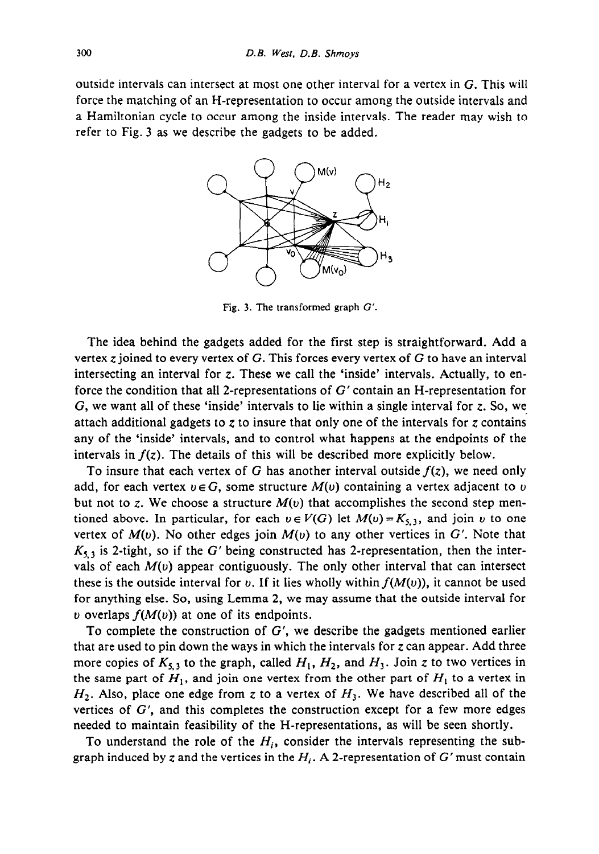outside intervals can intersect at most one other interval for a vertex in G. This will force the matching of an H-representation to occur among the outside intervals and a Hamiltonian cycle to occur among the inside intervals. The reader may wish to refer to Fig. 3 as we describe the gadgets to be added.



Fig. *3.* The transformed graph G'.

The idea behind the gadgets added for the first step is straightforward. Add a vertex z joined to every vertex of G. This forces every vertex of G to have an interval intersecting an interval for  $z$ . These we call the 'inside' intervals. Actually, to enforce the condition that all 2-representations of G' contain an H-representation for G, we want all of these 'inside' intervals to lie within a single interval for z. So, we attach additional gadgets to  $z$  to insure that only one of the intervals for  $z$  contains any of the 'inside' intervals, and to control what happens at the endpoints of the intervals in  $f(z)$ . The details of this will be described more explicitly below.

To insure that each vertex of G has another interval outside  $f(z)$ , we need only add, for each vertex  $v \in G$ , some structure  $M(v)$  containing a vertex adjacent to v but not to z. We choose a structure  $M(v)$  that accomplishes the second step mentioned above. In particular, for each  $v \in V(G)$  let  $M(v) = K_{5,3}$ , and join v to one vertex of  $M(v)$ . No other edges join  $M(v)$  to any other vertices in G'. Note that  $K_{5,3}$  is 2-tight, so if the G' being constructed has 2-representation, then the intervals of each  $M(v)$  appear contiguously. The only other interval that can intersect these is the outside interval for v. If it lies wholly within  $f(M(v))$ , it cannot be used for anything else. So, using Lemma 2, we may assume that the outside interval for v overlaps  $f(M(v))$  at one of its endpoints.

To complete the construction of  $G'$ , we describe the gadgets mentioned earlier that are used to pin down the ways in which the intervals for  $z$  can appear. Add three more copies of  $K_{5,1}$  to the graph, called  $H_1, H_2$ , and  $H_3$ . Join z to two vertices in the same part of  $H_1$ , and join one vertex from the other part of  $H_1$  to a vertex in  $H_2$ . Also, place one edge from z to a vertex of  $H_3$ . We have described all of the vertices of  $G'$ , and this completes the construction except for a few more edges needed to maintain feasibility of the H-representations, as will be seen shortly.

To understand the role of the *Hi,* consider the intervals representing the subgraph induced by z and the vertices in the  $H_i$ . A 2-representation of G' must contain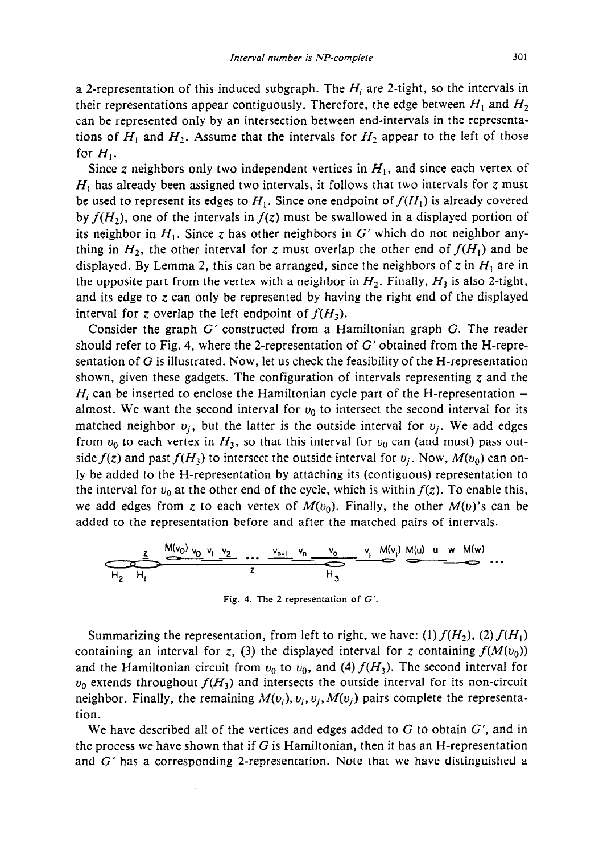a 2-representation of this induced subgraph. The  $H_i$  are 2-tight, so the intervals in their representations appear contiguously. Therefore, the edge between  $H_1$  and  $H_2$ can be represented only by an intersection between end-intervals in the representations of  $H_1$  and  $H_2$ . Assume that the intervals for  $H_2$  appear to the left of those for  $H_1$ .

Since z neighbors only two independent vertices in  $H<sub>1</sub>$ , and since each vertex of  $H<sub>1</sub>$  has already been assigned two intervals, it follows that two intervals for  $z$  must be used to represent its edges to  $H_1$ . Since one endpoint of  $f(H_1)$  is already covered *by*  $f(H_2)$ *, one of the intervals in*  $f(z)$  must be swallowed in a displayed portion of its neighbor in  $H_1$ . Since z has other neighbors in  $G'$  which do not neighbor anything in  $H_2$ , the other interval for z must overlap the other end of  $f(H_1)$  and be displayed. By Lemma 2, this can be arranged, since the neighbors of z in  $H_1$  are in the opposite part from the vertex with a neighbor in  $H_2$ . Finally,  $H_3$  is also 2-tight, and its edge to  $z$  can only be represented by having the right end of the displayed interval for z overlap the left endpoint of  $f(H_3)$ .

Consider the graph G' constructed from a Hamiltonian graph G. The reader should refer to Fig. 4, where the 2-representation of  $G'$  obtained from the H-representation of  $G$  is illustrated. Now, let us check the feasibility of the H-representation shown, given these gadgets. The configuration of intervals representing  $z$  and the  $H_i$  can be inserted to enclose the Hamiltonian cycle part of the H-representation  $$ almost. We want the second interval for  $v_0$  to intersect the second interval for its matched neighbor  $v_i$ , but the latter is the outside interval for  $v_i$ . We add edges from  $u_0$  to each vertex in  $H_3$ , so that this interval for  $u_0$  can (and must) pass outside  $f(z)$  and past  $f(H_3)$  to intersect the outside interval for  $v_i$ . Now,  $M(v_0)$  can only be added to the H-representation by attaching its (contiguous) representation to the interval for  $v_0$  at the other end of the cycle, which is within  $f(z)$ . To enable this, we add edges from z to each vertex of  $M(v_0)$ . Finally, the other  $M(v)$ 's can be added to the representation before and after the matched pairs of intervals.

$$
\underbrace{\frac{z}{H_2} \xrightarrow{M(v_0)} v_0 \xrightarrow{v_1} \xrightarrow{v_2} \cdots \xrightarrow{v_{n-1}} \xrightarrow{v_n} \xrightarrow{v_0} \xrightarrow{v_i} M(v_j) M(u) \u \wedge M(w)}_{H_3} \cdots
$$

Fig. 4. The 2-representation of G'.

Summarizing the representation, from left to right, we have: (1)  $f(H_2)$ , (2)  $f(H_1)$ containing an interval for z, (3) the displayed interval for z containing  $f(M(v_0))$ and the Hamiltonian circuit from  $v_0$  to  $v_0$ , and (4)  $f(H_3)$ . The second interval for  $u_0$  extends throughout  $f(H_3)$  and intersects the outside interval for its non-circuit neighbor. Finally, the remaining  $M(v_i)$ ,  $v_i$ ,  $w_i$ ,  $M(v_i)$  pairs complete the representation.

We have described all of the vertices and edges added to  $G$  to obtain  $G'$ , and in the process we have shown that if  $G$  is Hamiltonian, then it has an H-representation and G' has a corresponding 2-representation. Note that we have distinguished a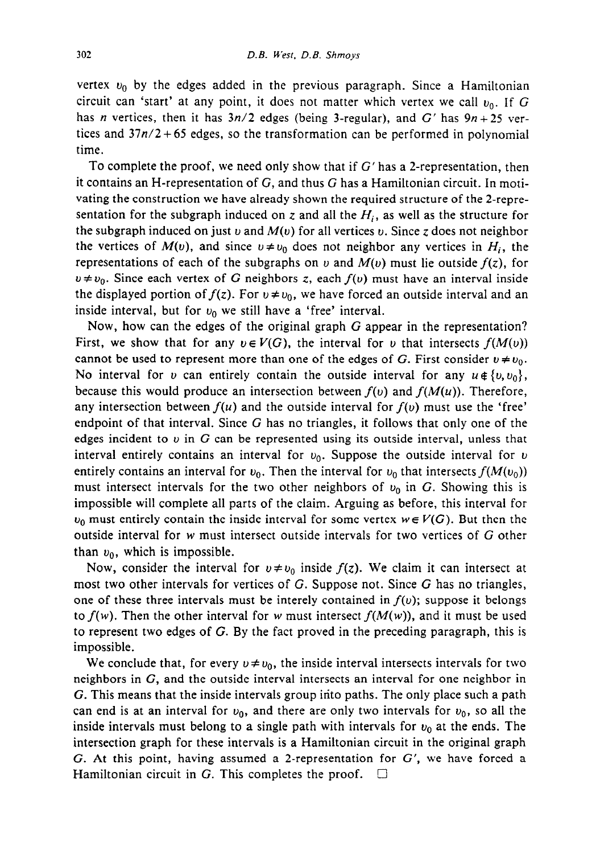vertex  $v_0$  by the edges added in the previous paragraph. Since a Hamiltonian circuit can 'start' at any point, it does not matter which vertex we call  $v_0$ . If G has n vertices, then it has  $3n/2$  edges (being 3-regular), and G' has  $9n + 25$  vertices and  $37n/2+65$  edges, so the transformation can be performed in polynomial time.

To complete the proof, we need only show that if  $G'$  has a 2-representation, then it contains an H-representation of G, and thus G has a Hamiltonian circuit. In motivating the construction we have already shown the required structure of the 2-representation for the subgraph induced on z and all the  $H_i$ , as well as the structure for the subgraph induced on just v and  $M(v)$  for all vertices v. Since z does not neighbor the vertices of  $M(v)$ , and since  $v \neq v_0$  does not neighbor any vertices in  $H_i$ , the representations of each of the subgraphs on v and  $M(v)$  must lie outside  $f(z)$ , for  $v \neq v_0$ . Since each vertex of G neighbors z, each  $f(v)$  must have an interval inside the displayed portion of  $f(z)$ . For  $v \neq v_0$ , we have forced an outside interval and an inside interval, but for  $v_0$  we still have a 'free' interval.

Now, how can the edges of the original graph G appear in the representation? First, we show that for any  $v \in V(G)$ , the interval for v that intersects  $f(M(v))$ cannot be used to represent more than one of the edges of G. First consider  $v \neq v_0$ . No interval for v can entirely contain the outside interval for any  $u \notin \{v, v_0\}$ , because this would produce an intersection between  $f(v)$  and  $f(M(u))$ . Therefore, any intersection between  $f(u)$  and the outside interval for  $f(v)$  must use the 'free' endpoint of that interval. Since G has no triangles, it follows that only one of the edges incident to  $v$  in G can be represented using its outside interval, unless that interval entirely contains an interval for  $v_0$ . Suppose the outside interval for  $v_0$ entirely contains an interval for  $v_0$ . Then the interval for  $v_0$  that intersects  $f(M(v_0))$ must intersect intervals for the two other neighbors of  $v_0$  in G. Showing this is impossible will complete all parts of the claim. Arguing as before, this interval for  $u_0$  must entirely contain the inside interval for some vertex  $w \in V(G)$ . But then the outside interval for w must intersect outside intervals for two vertices of G other than  $v_0$ , which is impossible.

Now, consider the interval for  $v \neq v_0$  inside  $f(z)$ . We claim it can intersect at most two other intervals for vertices of G. Suppose not. Since G has no triangles, one of these three intervals must be interely contained in  $f(v)$ ; suppose it belongs to  $f(w)$ . Then the other interval for w must intersect  $f(M(w))$ , and it must be used to represent two edges of G. By the fact proved in the preceding paragraph, this is impossible.

We conclude that, for every  $v \neq v_0$ , the inside interval intersects intervals for two neighbors in G, and the outside interval intersects an interval for one neighbor in G. This means that the inside intervals group into paths. The only place such a path can end is at an interval for  $v_0$ , and there are only two intervals for  $v_0$ , so all the inside intervals must belong to a single path with intervals for  $v_0$  at the ends. The intersection graph for these intervals is a Hamiltonian circuit in the original graph G. At this point, having assumed a 2-representation for  $G'$ , we have forced a Hamiltonian circuit in G. This completes the proof.  $\Box$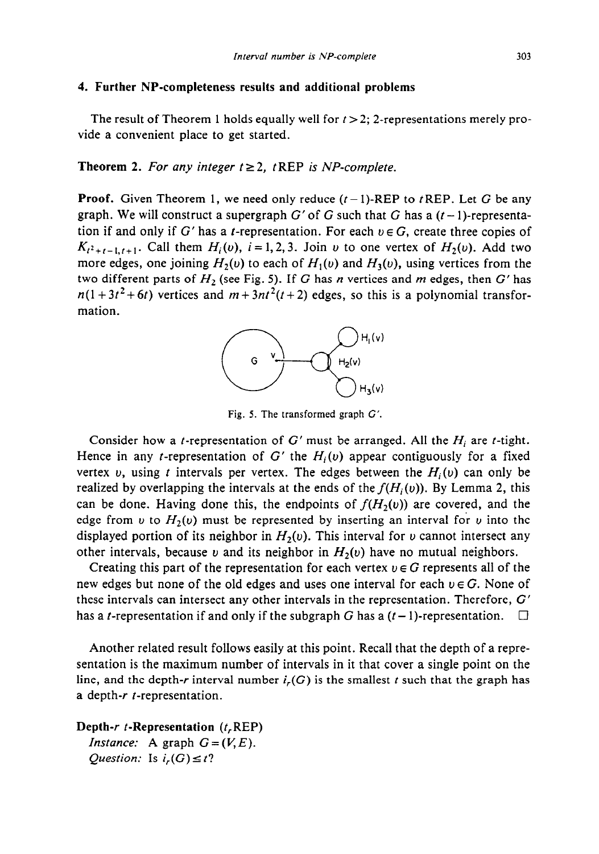## **4. Further NP-completeness results and additional problems**

The result of Theorem 1 holds equally well for  $t > 2$ ; 2-representations merely provide a convenient place to get started.

#### **Theorem 2.** For any integer  $t \geq 2$ , t REP is NP-complete.

**Proof.** Given Theorem 1, we need only reduce  $(t-1)$ -REP to *t* REP. Let G be any graph. We will construct a supergraph G' of G such that G has a  $(t-1)$ -representation if and only if G' has a *t*-representation. For each  $v \in G$ , create three copies of  $K_{t^2+t-1,t+1}$ . Call them  $H_i(v)$ ,  $i = 1,2,3$ . Join v to one vertex of  $H_2(v)$ . Add two more edges, one joining  $H_2(v)$  to each of  $H_1(v)$  and  $H_3(v)$ , using vertices from the two different parts of  $H_2$  (see Fig. 5). If G has n vertices and m edges, then G' has  $n(1+3t^2+6t)$  vertices and  $m+3nt^2(t+2)$  edges, so this is a polynomial transformation.



Fig. 5. The transformed graph G'.

Consider how a *t*-representation of  $G'$  must be arranged. All the  $H_i$  are *t*-tight. Hence in any *t*-representation of G' the  $H_i(v)$  appear contiguously for a fixed vertex v, using t intervals per vertex. The edges between the  $H_i(v)$  can only be realized by overlapping the intervals at the ends of the  $f(H_i(v))$ . By Lemma 2, this can be done. Having done this, the endpoints of  $f(H<sub>2</sub>(v))$  are covered, and the edge from v to  $H_2(v)$  must be represented by inserting an interval for v into the displayed portion of its neighbor in  $H_2(v)$ . This interval for v cannot intersect any other intervals, because v and its neighbor in  $H_2(v)$  have no mutual neighbors.

Creating this part of the representation for each vertex  $v \in G$  represents all of the new edges but none of the old edges and uses one interval for each  $v \in G$ . None of these intervals can intersect any other intervals in the representation. Therefore, G' has a *t*-representation if and only if the subgraph G has a  $(t-1)$ -representation.  $\square$ 

Another related result follows easily at this point. Recall that the depth of a representation is the maximum number of intervals in it that cover a single point on the line, and the depth-r interval number  $i_r(G)$  is the smallest t such that the graph has a depth-r f-representation.

**Depth-r f-Representation** (t,REP) *Instance:* A graph  $G = (V, E)$ . *Question:* Is  $i_r(G) \leq t$ ?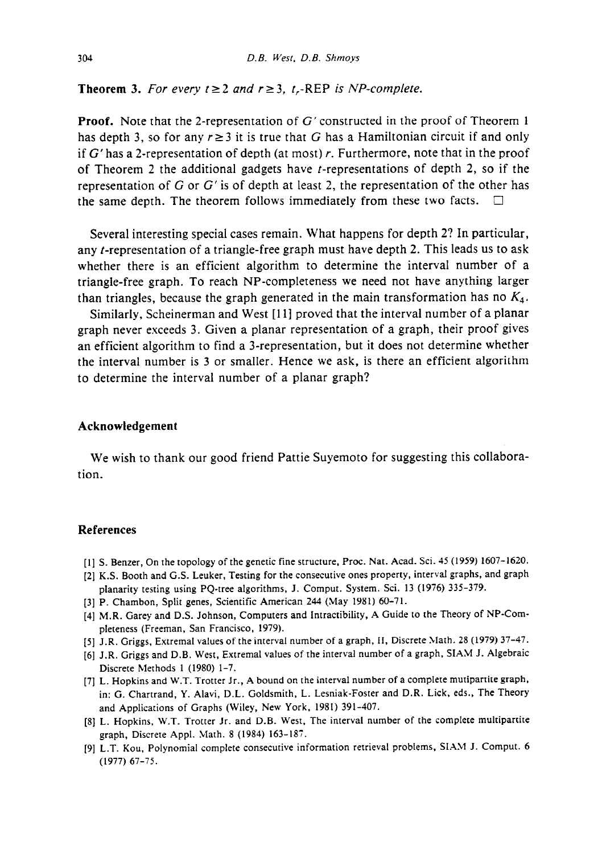**Theorem 3.** For every  $t \ge 2$  and  $r \ge 3$ ,  $t$ ,-REP is NP-complete.

**Proof.** Note that the 2-representation of G' constructed in the proof of Theorem 1 has depth 3, so for any  $r \ge 3$  it is true that G has a Hamiltonian circuit if and only if  $G'$  has a 2-representation of depth (at most) r. Furthermore, note that in the proof of Theorem 2 the additional gadgets have  $t$ -representations of depth 2, so if the representation of G or G' is of depth at least 2, the representation of the other has the same depth. The theorem follows immediately from these two facts.  $\Box$ 

Several interesting special cases remain. What happens for depth 2? In particular, any t-representation of a triangle-free graph must have depth 2. This leads us to ask whether there is an efficient algorithm to determine the interval number of a triangle-free graph. To reach NP-completeness we need not have anything larger than triangles, because the graph generated in the main transformation has no *K4.* 

Similarly, Scheinerman and West [11] proved that the interval number of a planar graph never exceeds 3. Given a planar representation of a graph, their proof gives an efficient algorithm to find a 3-representation, but it does not determine whether the interval number is 3 or smaller. Hence we ask, is there an efficient algorithm to determine the interval number of a planar graph?

#### **Acknowledgement**

We wish to thank our good friend Pattie Suyemoto for suggesting this collaboration.

## **References**

- [l] S. Benzer, On the topology of the genetic fine structure, Proc. Nat. Acad. Sci. 45 (1959) 1607-1620.
- [2] KS. Booth and G.S. Leuker, Testing for the consecutive ones property, interval graphs, and graph planarity testing using PQ-tree algorithms, J. Comput. System. Sci. 13 (1976) 335-379.
- [3] P. Chambon, Split genes, Scientific American 244 (May 1981) 60-71.
- [4] M.R. Garey and D.S. Johnson, Computers and Intractibility, A Guide to the Theory of NP-Completeness (Freeman, San Francisco, 1979).
- [5] J.R. Griggs, Extremal values of the interval number of a graph, II, Discrete &lath. 28 (1979) 37-47.
- [6] J.R. Griggs and D.B. West, Extremal values of the interval number of a graph, SIAM J. Algebraic Discrete Methods 1 (1980) 1-7.
- [7] L. Hopkins and W.T. Trotter Jr., A bound on the interval number of a complete mutipartite graph, in: G. Chartrand. Y. Alavi, D.L. Goldsmith, L. Lesniak-Foster and D.R. Lick, eds., The Theory and Applications of Graphs (Wiley, New York, 1981) 391-407.
- [8] L. Hopkins, W.T. Trotter Jr. and D.B. West, The interval number of the complete multipartite graph, Discrete Appl. Math. 8 (1984) 163-187.
- 191 L.T. Kou, Polynomial complete consecutive information retrieval problems, SIAM J. Comput. 6 (1977) 67-75.